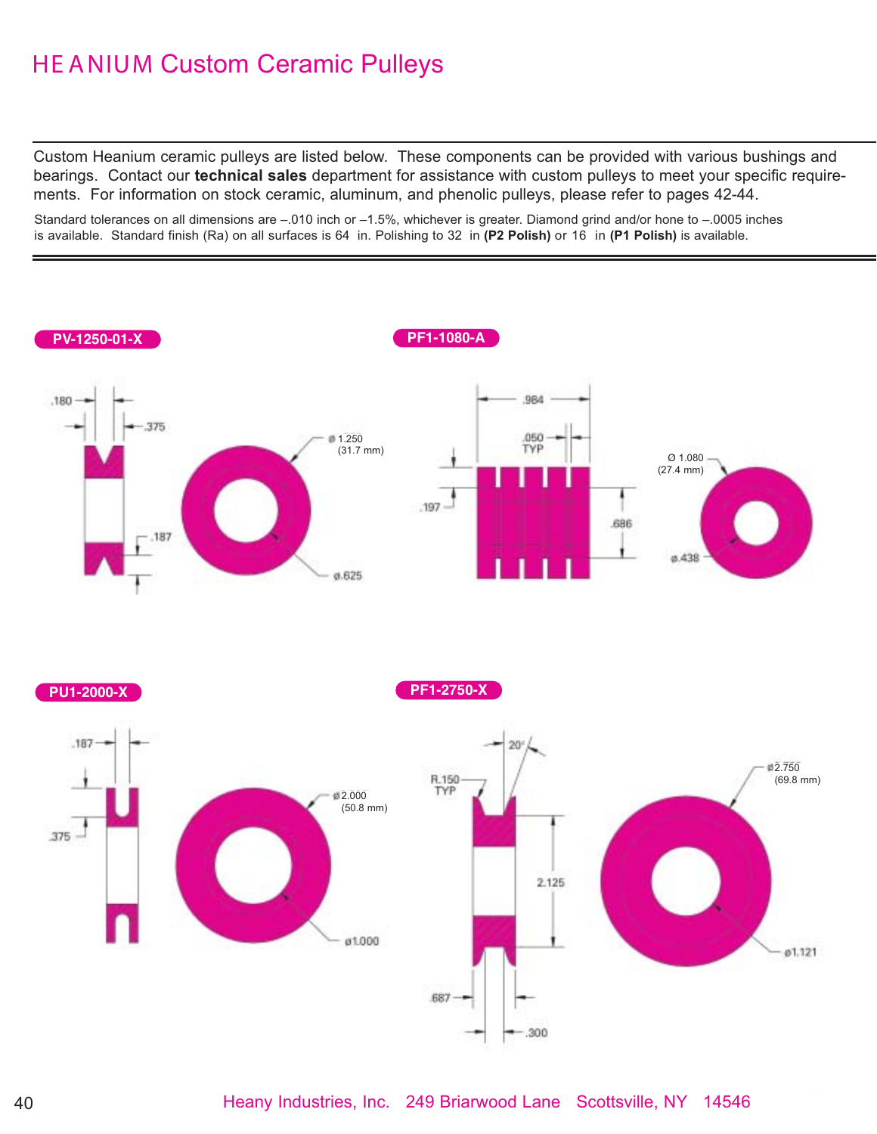# HE ANIUM Custom Ceramic Pulleys

Custom Heanium ceramic pulleys are listed below. These components can be provided with various bushings and bearings. Contact our **technical sales** department for assistance with custom pulleys to meet your specific requirements. For information on stock ceramic, aluminum, and phenolic pulleys, please refer to pages 42-44.

Standard tolerances on all dimensions are -.010 inch or -1.5%, whichever is greater. Diamond grind and/or hone to -.0005 inches is available. Standard finish (Ra) on all surfaces is 64 in. Polishing to 32 in **(P2 Polish)** or 16 in **(P1 Polish)** is available.

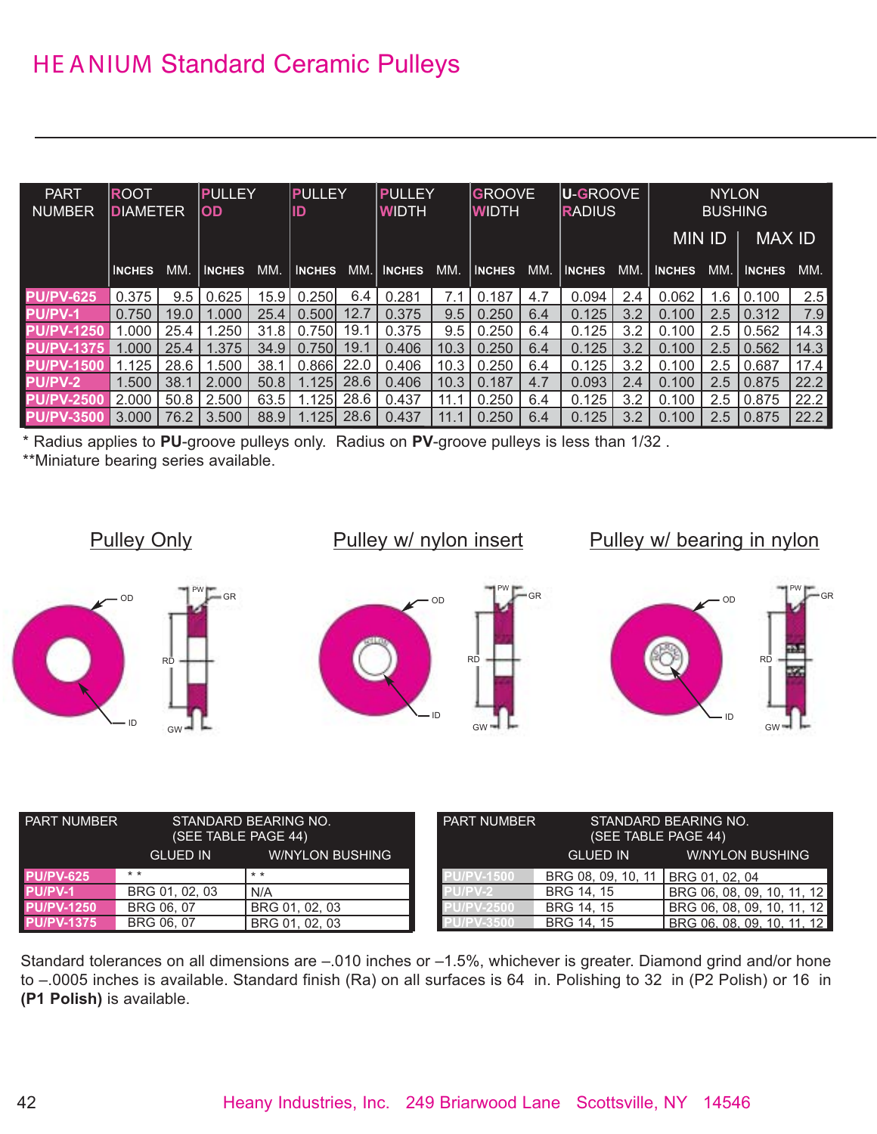| <b>PART</b><br><b>NUMBER</b> | <b>ROOT</b><br><b>DIAMETER</b> |      | <b>PULLEY</b><br><b>OD</b> |      | PULLEY<br>ID  |      | PULLEY<br><b>WIDTH</b> |            | <b>GROOVE</b><br><b>WIDTH</b> |     | <b>U-GROOVE</b><br>RADIUS |     |               | <b>NYLON</b><br><b>BUSHING</b> |               |      |
|------------------------------|--------------------------------|------|----------------------------|------|---------------|------|------------------------|------------|-------------------------------|-----|---------------------------|-----|---------------|--------------------------------|---------------|------|
|                              |                                |      |                            |      |               |      |                        |            |                               |     |                           |     | <b>MIN ID</b> |                                | <b>MAX ID</b> |      |
|                              | <b>INCHES</b>                  | MM.  | <b>INCHES</b>              | MM.  | <b>INCHES</b> |      | MM. INCHES             | MM.        | <b>INCHES</b>                 | MM. | <b>INCHES</b>             | MM. | <b>INCHES</b> | MM. I                          | <b>INCHES</b> | MM.  |
| <b>PU/PV-625</b>             | 0.375                          | 9.5  | 0.625                      | 15.9 | 0.250         | 6.4  | 0.281                  | 7.1        | 0.187                         | 4.7 | 0.094                     | 2.4 | 0.062         | 1.6                            | 0.100         | 2.5  |
| <b>PU/PV-1</b>               | 0.750                          | 19.0 | .000                       | 25.4 | 0.500         | 12.7 | 0.375                  | 9.5        | 0.250                         | 6.4 | 0.125                     | 3.2 | 0.100         | 2.5                            | 0.312         | 7.9  |
| <b>PU/PV-1250</b>            | .000                           | 25.4 | .250                       | 31.8 | 0.750         | 19.1 | 0.375                  | $9.5 \mid$ | 0.250                         | 6.4 | 0.125                     | 3.2 | 0.100         | 2.5                            | 0.562         | 14.3 |
| <b>PU/PV-1375</b>            | .000                           | 25.4 | .375                       | 34.9 | 0.750         | 19.1 | 0.406                  | 10.3       | 0.250                         | 6.4 | 0.125                     | 3.2 | 0.100         | 2.5                            | 0.562         | 14.3 |
| <b>PU/PV-1500</b>            | .125                           | 28.6 | .500                       | 38.  | 0.866         | 22.0 | 0.406                  | 10.3       | 0.250                         | 6.4 | 0.125                     | 3.2 | 0.100         | 2.5                            | 0.687         | 17.4 |
| <b>PU/PV-2</b>               | 1.500                          | 38.1 | 2.000                      | 50.8 | 1.1251        | 28.6 | 0.406                  | 10.3       | 0.187                         | 4.7 | 0.093                     | 2.4 | 0.100         | 2.5                            | 0.875         | 22.2 |
| <b>PU/PV-2500</b>            | 2.000                          | 50.8 | 2.500                      | 63.5 | .1251         | 28.6 | 0.437                  | 11.1       | 0.250                         | 6.4 | 0.125                     | 3.2 | 0.100         | 2.5                            | 0.875         | 22.2 |
| <b>PU/PV-3500</b>            | 3.000                          | 76.2 | 3.500                      | 88.9 | 1.125l        | 28.6 | 0.437                  | 11.1       | 0.250                         | 6.4 | 0.125                     | 3.2 | 0.100         | 2.5                            | 0.875         | 22.2 |

\* Radius applies to **PU**-groove pulleys only. Radius on **PV**-groove pulleys is less than 1/32 .

\*\*Miniature bearing series available.



| <b>STANDARD BEARING NO.</b><br><b>PART NUMBER</b><br>(SEE TABLE PAGE 44) |                 | <b>PART NUMBER</b>     | STANDARD BEARING NO.<br>(SEE TABLE PAGE 44) |                    |                            |
|--------------------------------------------------------------------------|-----------------|------------------------|---------------------------------------------|--------------------|----------------------------|
|                                                                          | <b>GLUED IN</b> | <b>W/NYLON BUSHING</b> |                                             | <b>GLUED IN</b>    | <b>WAYLON BUSHING</b>      |
| <b>PU/PV-625</b>                                                         | $* *$           | $* *$                  | PV-1500                                     | BRG 08, 09, 10, 11 | BRG 01.02.04               |
| PU/PV-1                                                                  | BRG 01, 02, 03  | N/A                    |                                             | BRG 14, 15         | BRG 06, 08, 09, 10, 11, 12 |
| <b>PU/PV-1250</b>                                                        | BRG 06, 07      | BRG 01, 02, 03         | <b>PV-2500</b>                              | BRG 14, 15         | BRG 06, 08, 09, 10, 11, 12 |
| <b>PU/PV-1375</b>                                                        | BRG 06, 07      | BRG 01, 02, 03         |                                             | BRG 14, 15         | BRG 06, 08, 09, 10, 11, 12 |

Standard tolerances on all dimensions are –.010 inches or –1.5%, whichever is greater. Diamond grind and/or hone to –.0005 inches is available. Standard finish (Ra) on all surfaces is 64 in. Polishing to 32 in (P2 Polish) or 16 in **(P1 Polish)** is available.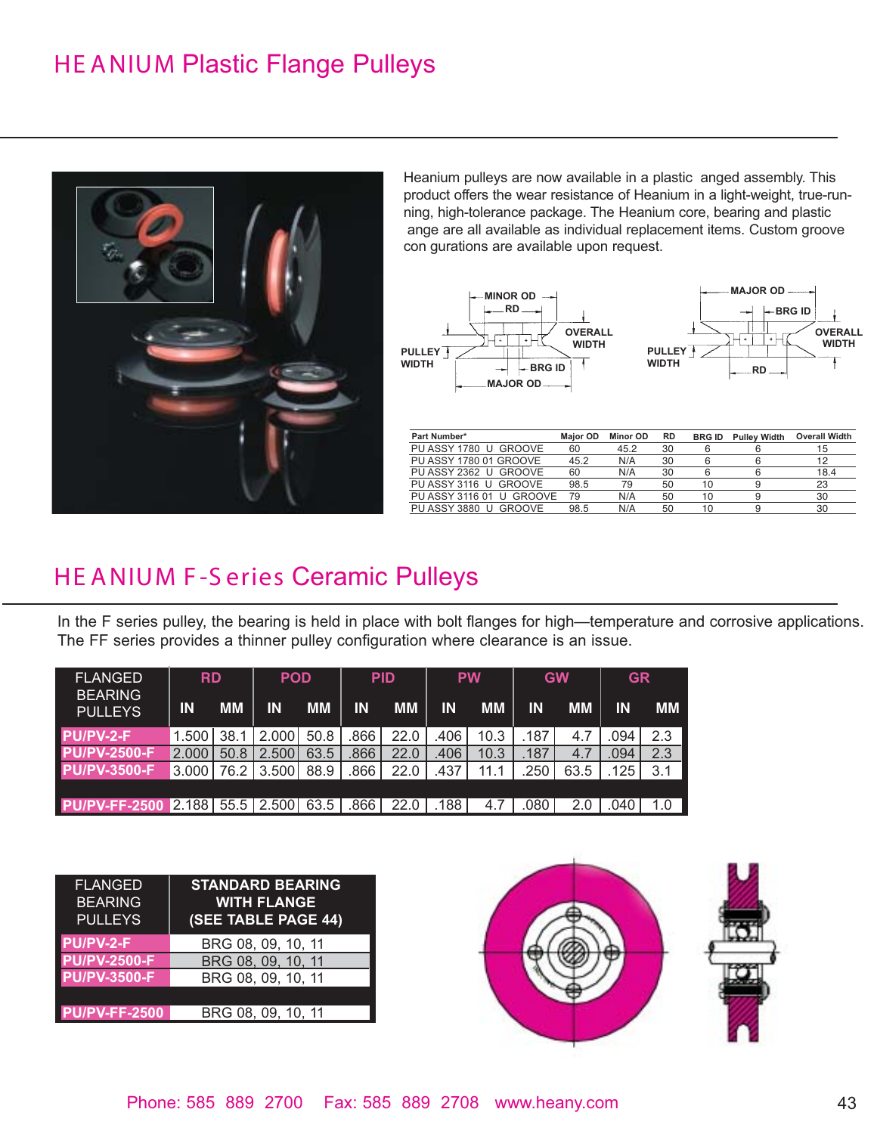### HE ANIUM Plastic Flange Pulleys



Heanium pulleys are now available in a plastic anged assembly. This product offers the wear resistance of Heanium in a light-weight, true-running, high-tolerance package. The Heanium core, bearing and plastic ange are all available as individual replacement items. Custom groove con gurations are available upon request.



| Part Number*             | <b>Maior OD</b> | Minor OD | <b>RD</b> | <b>BRG ID</b> | <b>Pulley Width</b> | <b>Overall Width</b> |
|--------------------------|-----------------|----------|-----------|---------------|---------------------|----------------------|
| PU ASSY 1780 U GROOVE    | 60              | 45.2     | 30        | 6             | 6                   | 15                   |
| PU ASSY 1780 01 GROOVE   | 45.2            | N/A      | 30        | 6             | 6                   | 12                   |
| PU ASSY 2362 U GROOVE    | 60              | N/A      | 30        | 6             | հ                   | 18.4                 |
| PU ASSY 3116 U GROOVE    | 98.5            | 79       | 50        | 10            | 9                   | 23                   |
| PU ASSY 3116 01 U GROOVE | 79              | N/A      | 50        | 10            | a                   | 30                   |
| PU ASSY 3880 U GROOVE    | 98.5            | N/A      | 50        | 10            | Q                   | 30                   |
|                          |                 |          |           |               |                     |                      |

#### HE ANIUM F -S eries Ceramic Pulleys

In the F series pulley, the bearing is held in place with bolt flanges for high—temperature and corrosive applications. The FF series provides a thinner pulley configuration where clearance is an issue.

| <b>FLANGED</b><br><b>BEARING</b> | <b>RD</b> |           | <b>POD</b> |           | <b>PID</b> |           |      | <b>PW</b> |           | <b>GW</b> | <b>GR</b> |           |
|----------------------------------|-----------|-----------|------------|-----------|------------|-----------|------|-----------|-----------|-----------|-----------|-----------|
| <b>PULLEYS</b>                   | <b>IN</b> | <b>MM</b> | IN         | <b>MM</b> | ΙN         | <b>MM</b> | ΙN   | <b>MM</b> | <b>IN</b> | <b>MM</b> | ΙN        | <b>MM</b> |
| PU/PV-2-F                        | 1.500     | 38.1      | 2.000      | 50.8      | .866       | 22.0      | .406 | 10.3      | .187      | 4.7       | .094      | 2.3       |
| <b>PU/PV-2500-F</b>              | 2.000     | 50.8      | 2.500      | 63.5      | .866       | 22.0      | .406 | 10.3      | .187      | 4.7       | .094      | 2.3       |
| <b>PU/PV-3500-F</b>              | 3.000     | 76.2      | 3.500      | 88.9      | .866       | 22.0      | .437 | 11.1      | 250       | 63.5      | .125      | 3.1       |
|                                  |           |           |            |           |            |           |      |           |           |           |           |           |
| PU/PV-FF-2500 2.188 55.5 2.500   |           |           |            | 63.5      | .866'      | 22.0      | .188 | 4.7       | .080      | 2.0       | .040      | 1.0       |

| <b>FLANGED</b><br><b>BEARING</b><br><b>PULLEYS</b> | <b>STANDARD BEARING</b><br><b>WITH FLANGE</b><br>(SEE TABLE PAGE 44) |
|----------------------------------------------------|----------------------------------------------------------------------|
| PU/PV-2-F                                          | BRG 08, 09, 10, 11                                                   |
| <b>PU/PV-2500-F</b>                                | BRG 08, 09, 10, 11                                                   |
| <b>PU/PV-3500-F</b>                                | BRG 08, 09, 10, 11                                                   |
|                                                    |                                                                      |
| <b>PU/PV-FF-2500</b>                               | BRG 08, 09, 10, 11                                                   |
|                                                    |                                                                      |